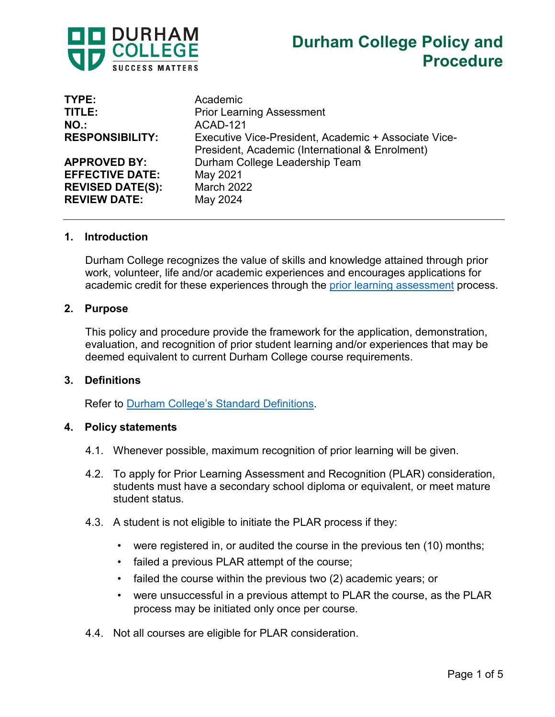

| TYPE:                   | Academic                                                                                                |
|-------------------------|---------------------------------------------------------------------------------------------------------|
| TITLE:                  | <b>Prior Learning Assessment</b>                                                                        |
| NO.                     | ACAD-121                                                                                                |
| <b>RESPONSIBILITY:</b>  | Executive Vice-President, Academic + Associate Vice-<br>President, Academic (International & Enrolment) |
| <b>APPROVED BY:</b>     | Durham College Leadership Team                                                                          |
| <b>EFFECTIVE DATE:</b>  | May 2021                                                                                                |
| <b>REVISED DATE(S):</b> | <b>March 2022</b>                                                                                       |
| <b>REVIEW DATE:</b>     | May 2024                                                                                                |

#### **1. Introduction**

Durham College recognizes the value of skills and knowledge attained through prior work, volunteer, life and/or academic experiences and encourages applications for academic credit for these experiences through the [prior learning assessment](https://durhamcollege.ca/wp-content/uploads/Durham-College-Standard-Definitions.pdf) process.

#### **2. Purpose**

This policy and procedure provide the framework for the application, demonstration, evaluation, and recognition of prior student learning and/or experiences that may be deemed equivalent to current Durham College course requirements.

#### **3. Definitions**

Refer to [Durham College's Standard Definitions.](https://durhamcollege.ca/wp-content/uploads/Durham-College-Standard-Definitions.pdf)

#### **4. Policy statements**

- 4.1. Whenever possible, maximum recognition of prior learning will be given.
- 4.2. To apply for Prior Learning Assessment and Recognition (PLAR) consideration, students must have a secondary school diploma or equivalent, or meet mature student status.
- 4.3. A student is not eligible to initiate the PLAR process if they:
	- were registered in, or audited the course in the previous ten (10) months;
	- failed a previous PLAR attempt of the course;
	- failed the course within the previous two (2) academic years; or
	- were unsuccessful in a previous attempt to PLAR the course, as the PLAR process may be initiated only once per course.
- 4.4. Not all courses are eligible for PLAR consideration.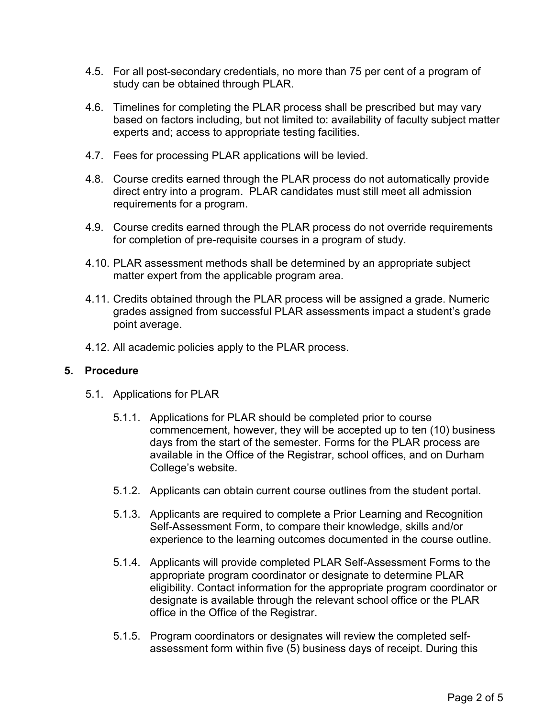- 4.5. For all post-secondary credentials, no more than 75 per cent of a program of study can be obtained through PLAR.
- 4.6. Timelines for completing the PLAR process shall be prescribed but may vary based on factors including, but not limited to: availability of faculty subject matter experts and; access to appropriate testing facilities.
- 4.7. Fees for processing PLAR applications will be levied.
- 4.8. Course credits earned through the PLAR process do not automatically provide direct entry into a program. PLAR candidates must still meet all admission requirements for a program.
- 4.9. Course credits earned through the PLAR process do not override requirements for completion of pre-requisite courses in a program of study.
- 4.10. PLAR assessment methods shall be determined by an appropriate subject matter expert from the applicable program area.
- 4.11. Credits obtained through the PLAR process will be assigned a grade. Numeric grades assigned from successful PLAR assessments impact a student's grade point average.
- 4.12. All academic policies apply to the PLAR process.

## **5. Procedure**

- 5.1. Applications for PLAR
	- 5.1.1. Applications for PLAR should be completed prior to course commencement, however, they will be accepted up to ten (10) business days from the start of the semester. Forms for the PLAR process are available in the Office of the Registrar, school offices, and on Durham College's website.
	- 5.1.2. Applicants can obtain current course outlines from the student portal.
	- 5.1.3. Applicants are required to complete a Prior Learning and Recognition Self-Assessment Form, to compare their knowledge, skills and/or experience to the learning outcomes documented in the course outline.
	- 5.1.4. Applicants will provide completed PLAR Self-Assessment Forms to the appropriate program coordinator or designate to determine PLAR eligibility. Contact information for the appropriate program coordinator or designate is available through the relevant school office or the PLAR office in the Office of the Registrar.
	- 5.1.5. Program coordinators or designates will review the completed selfassessment form within five (5) business days of receipt. During this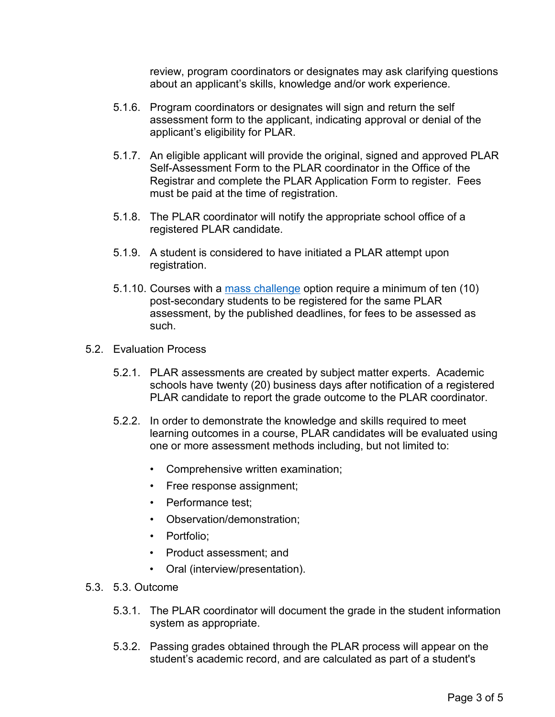review, program coordinators or designates may ask clarifying questions about an applicant's skills, knowledge and/or work experience.

- 5.1.6. Program coordinators or designates will sign and return the self assessment form to the applicant, indicating approval or denial of the applicant's eligibility for PLAR.
- 5.1.7. An eligible applicant will provide the original, signed and approved PLAR Self-Assessment Form to the PLAR coordinator in the Office of the Registrar and complete the PLAR Application Form to register. Fees must be paid at the time of registration.
- 5.1.8. The PLAR coordinator will notify the appropriate school office of a registered PLAR candidate.
- 5.1.9. A student is considered to have initiated a PLAR attempt upon registration.
- 5.1.10. Courses with a <u>mass challenge</u> option require a minimum of ten (10) post-secondary students to be registered for the sam e PLAR assessment, by the published deadlines, for fees to b e assessed as such.
- 5.2. Evaluation Process
	- 5.2.1. PLAR assessments are created by subject matter experts. Academic schools have twenty (20) business days after notification of a registered PLAR candidate to report the grade outcome to the PLAR coordinator.
	- 5.2.2. In order to demonstrate the knowledge and skills required to meet learning outcomes in a course, PLAR candidates will be evaluated using one or more assessment methods including, but not limited to:
		- Comprehensive written examination;
		- Free response assignment;
		- Performance test;
		- Observation/demonstration;
		- Portfolio:
		- Product assessment; and
		- Oral (interview/presentation).
- 5.3. 5.3. Outcome
	- 5.3.1. The PLAR coordinator will document the grade in the student information system as appropriate.
	- 5.3.2. Passing grades obtained through the PLAR process will appear on the student's academic record, and are calculated as part of a student's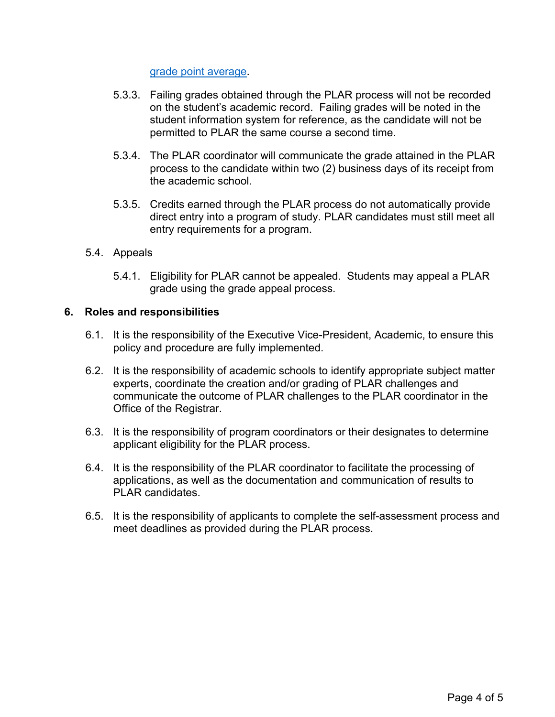[grade point average.](https://durhamcollege.ca/wp-content/uploads/Durham-College-Standard-Definitions.pdf)

- 5.3.3. Failing grades obtained through the PLAR process will not be recorded on the student's academic record. Failing grades will be noted in the student information system for reference, as the candidate will not be permitted to PLAR the same course a second time.
- 5.3.4. The PLAR coordinator will communicate the grade attained in the PLAR process to the candidate within two (2) business days of its receipt from the academic school.
- 5.3.5. Credits earned through the PLAR process do not automatically provide direct entry into a program of study. PLAR candidates must still meet all entry requirements for a program.

## 5.4. Appeals

5.4.1. Eligibility for PLAR cannot be appealed. Students may appeal a PLAR grade using the grade appeal process.

## **6. Roles and responsibilities**

- 6.1. It is the responsibility of the Executive Vice-President, Academic, to ensure this policy and procedure are fully implemented.
- 6.2. It is the responsibility of academic schools to identify appropriate subject matter experts, coordinate the creation and/or grading of PLAR challenges and communicate the outcome of PLAR challenges to the PLAR coordinator in the Office of the Registrar.
- 6.3. It is the responsibility of program coordinators or their designates to determine applicant eligibility for the PLAR process.
- 6.4. It is the responsibility of the PLAR coordinator to facilitate the processing of applications, as well as the documentation and communication of results to PLAR candidates.
- 6.5. It is the responsibility of applicants to complete the self-assessment process and meet deadlines as provided during the PLAR process.